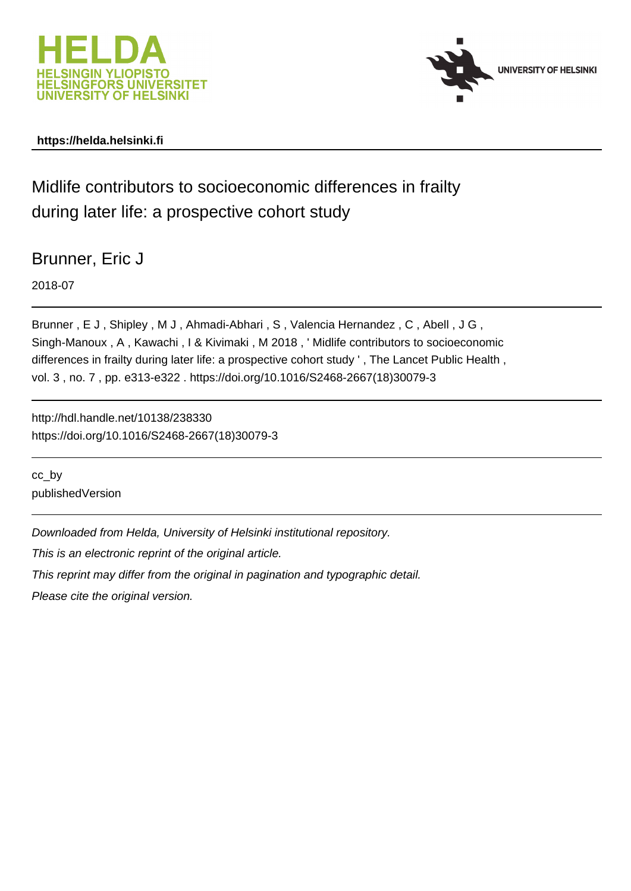



## **https://helda.helsinki.fi**

Midlife contributors to socioeconomic differences in frailty during later life: a prospective cohort study

Brunner, Eric J

2018-07

Brunner , E J , Shipley , M J , Ahmadi-Abhari , S , Valencia Hernandez , C , Abell , J G , Singh-Manoux , A , Kawachi , I & Kivimaki , M 2018 , ' Midlife contributors to socioeconomic differences in frailty during later life: a prospective cohort study ' , The Lancet Public Health , vol. 3 , no. 7 , pp. e313-e322 . https://doi.org/10.1016/S2468-2667(18)30079-3

http://hdl.handle.net/10138/238330 https://doi.org/10.1016/S2468-2667(18)30079-3

cc\_by publishedVersion

Downloaded from Helda, University of Helsinki institutional repository.

This is an electronic reprint of the original article.

This reprint may differ from the original in pagination and typographic detail.

Please cite the original version.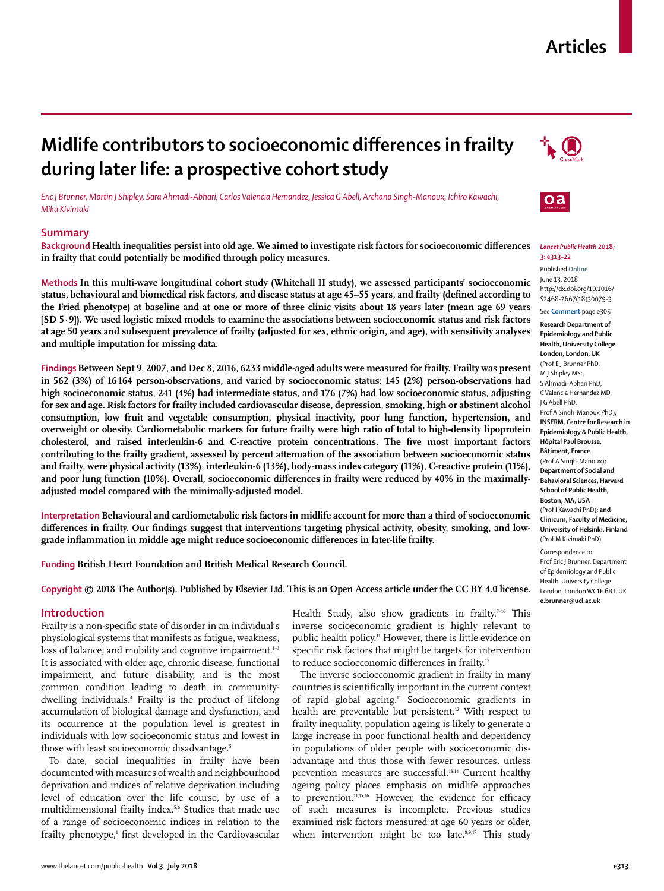## **Articles**

# **Midlife contributors to socioeconomic differences in frailty during later life: a prospective cohort study**

*Eric J Brunner, Martin J Shipley, Sara Ahmadi-Abhari, Carlos Valencia Hernandez, Jessica G Abell, Archana Singh-Manoux, Ichiro Kawachi, Mika Kivimaki*

## **Summary**

**Background Health inequalities persist into old age. We aimed to investigate risk factors for socioeconomic differences in frailty that could potentially be modified through policy measures.**

**Methods In this multi-wave longitudinal cohort study (Whitehall II study), we assessed participants' socioeconomic status, behavioural and biomedical risk factors, and disease status at age 45–55 years, and frailty (defined according to the Fried phenotype) at baseline and at one or more of three clinic visits about 18 years later (mean age 69 years [SD 5·9]). We used logistic mixed models to examine the associations between socioeconomic status and risk factors at age 50 years and subsequent prevalence of frailty (adjusted for sex, ethnic origin, and age), with sensitivity analyses and multiple imputation for missing data.**

**Findings Between Sept 9, 2007, and Dec 8, 2016, 6233 middle-aged adults were measured for frailty. Frailty was present in 562 (3%) of 16164 person-observations, and varied by socioeconomic status: 145 (2%) person-observations had high socioeconomic status, 241 (4%) had intermediate status, and 176 (7%) had low socioeconomic status, adjusting for sex and age. Risk factors for frailty included cardiovascular disease, depression, smoking, high or abstinent alcohol consumption, low fruit and vegetable consumption, physical inactivity, poor lung function, hypertension, and overweight or obesity. Cardiometabolic markers for future frailty were high ratio of total to high-density lipoprotein cholesterol, and raised interleukin-6 and C-reactive protein concentrations. The five most important factors contributing to the frailty gradient, assessed by percent attenuation of the association between socioeconomic status and frailty, were physical activity (13%), interleukin-6 (13%), body-mass index category (11%), C-reactive protein (11%), and poor lung function (10%). Overall, socioeconomic differences in frailty were reduced by 40% in the maximallyadjusted model compared with the minimally-adjusted model.**

**Interpretation Behavioural and cardiometabolic risk factors in midlife account for more than a third of socioeconomic differences in frailty. Our findings suggest that interventions targeting physical activity, obesity, smoking, and lowgrade inflammation in middle age might reduce socioeconomic differences in later-life frailty.**

**Funding British Heart Foundation and British Medical Research Council.**

**Copyright © 2018 The Author(s). Published by Elsevier Ltd. This is an Open Access article under the CC BY 4.0 license.**

#### **Introduction**

Frailty is a non-specific state of disorder in an individual's physiological systems that manifests as fatigue, weakness, loss of balance, and mobility and cognitive impairment.<sup>1-3</sup> It is associated with older age, chronic disease, functional impairment, and future disability, and is the most common condition leading to death in communitydwelling individuals.4 Frailty is the product of lifelong accumulation of biological damage and dysfunction, and its occurrence at the population level is greatest in individuals with low socioeconomic status and lowest in those with least socioeconomic disadvantage.<sup>5</sup>

To date, social inequalities in frailty have been documented with measures of wealth and neighbourhood deprivation and indices of relative deprivation including level of education over the life course, by use of a multidimensional frailty index.5,6 Studies that made use of a range of socioeconomic indices in relation to the frailty phenotype,<sup>1</sup> first developed in the Cardiovascular Health Study, also show gradients in frailty.<sup>7-10</sup> This inverse socioeconomic gradient is highly relevant to public health policy.<sup>11</sup> However, there is little evidence on specific risk factors that might be targets for intervention to reduce socioeconomic differences in frailty.<sup>12</sup>

The inverse socioeconomic gradient in frailty in many countries is scientifically important in the current context of rapid global ageing.11 Socioeconomic gradients in health are preventable but persistent.<sup>12</sup> With respect to frailty inequality, population ageing is likely to generate a large increase in poor functional health and dependency in populations of older people with socioeconomic disadvantage and thus those with fewer resources, unless prevention measures are successful.<sup>13,14</sup> Current healthy ageing policy places emphasis on midlife approaches to prevention.<sup>11,15,16</sup> However, the evidence for efficacy of such measures is incomplete. Previous studies examined risk factors measured at age 60 years or older, when intervention might be too late.<sup>8,9,17</sup> This study





*Lancet Public Health* **2018; 3: e313–22** Published **Online** June 13, 2018 http://dx.doi.org/10.1016/ S2468-2667(18)30079-3

See **Comment** page e305 **Research Department of Epidemiology and Public Health, University College London, London, UK** (Prof E J Brunner PhD, M J Shipley MSc, S Ahmadi-Abhari PhD, C Valencia Hernandez MD, J G Abell PhD, Prof A Singh-Manoux PhD)**; INSERM, Centre for Research in Epidemiology & Public Health, Hôpital Paul Brousse, Bâtiment, France** (Prof A Singh-Manoux)**; Department of Social and Behavioral Sciences, Harvard School of Public Health, Boston, MA, USA**  (Prof I Kawachi PhD)**; and Clinicum, Faculty of Medicine, University of Helsinki, Finland**  (Prof M Kivimaki PhD)

Correspondence to: Prof Eric J Brunner, Department of Epidemiology and Public Health, University College London, London WC1E 6BT, UK **e.brunner@ucl.ac.uk**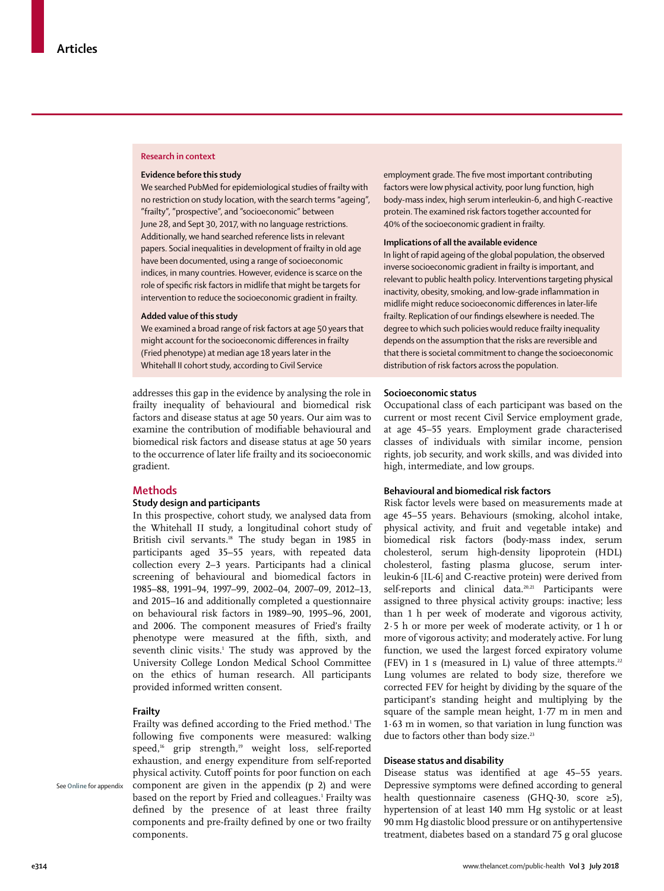#### **Research in context**

#### **Evidence before this study**

We searched PubMed for epidemiological studies of frailty with no restriction on study location, with the search terms "ageing", "frailty", "prospective", and "socioeconomic" between June 28, and Sept 30, 2017, with no language restrictions. Additionally, we hand searched reference lists in relevant papers. Social inequalities in development of frailty in old age have been documented, using a range of socioeconomic indices, in many countries. However, evidence is scarce on the role of specific risk factors in midlife that might be targets for intervention to reduce the socioeconomic gradient in frailty.

#### **Added value of this study**

We examined a broad range of risk factors at age 50 years that might account for the socioeconomic differences in frailty (Fried phenotype) at median age 18 years later in the Whitehall II cohort study, according to Civil Service

addresses this gap in the evidence by analysing the role in frailty inequality of behavioural and biomedical risk factors and disease status at age 50 years. Our aim was to examine the contribution of modifiable behavioural and biomedical risk factors and disease status at age 50 years to the occurrence of later life frailty and its socioeconomic gradient.

## **Methods**

## **Study design and participants**

In this prospective, cohort study, we analysed data from the Whitehall II study, a longitudinal cohort study of British civil servants.<sup>18</sup> The study began in 1985 in participants aged 35–55 years, with repeated data collection every 2–3 years. Participants had a clinical screening of behavioural and biomedical factors in 1985–88, 1991–94, 1997–99, 2002–04, 2007–09, 2012–13, and 2015–16 and additionally completed a questionnaire on behavioural risk factors in 1989–90, 1995–96, 2001, and 2006. The component measures of Fried's frailty phenotype were measured at the fifth, sixth, and seventh clinic visits.<sup>1</sup> The study was approved by the University College London Medical School Committee on the ethics of human research. All participants provided informed written consent.

#### **Frailty**

Frailty was defined according to the Fried method.<sup>1</sup> The following five components were measured: walking speed,<sup>16</sup> grip strength,<sup>19</sup> weight loss, self-reported exhaustion, and energy expenditure from self-reported physical activity. Cutoff points for poor function on each component are given in the appendix (p 2) and were based on the report by Fried and colleagues.1 Frailty was defined by the presence of at least three frailty components and pre-frailty defined by one or two frailty components.

employment grade. The five most important contributing factors were low physical activity, poor lung function, high body-mass index, high serum interleukin-6, and high C-reactive protein. The examined risk factors together accounted for 40% of the socioeconomic gradient in frailty.

#### **Implications of all the available evidence**

In light of rapid ageing of the global population, the observed inverse socioeconomic gradient in frailty is important, and relevant to public health policy. Interventions targeting physical inactivity, obesity, smoking, and low-grade inflammation in midlife might reduce socioeconomic differences in later-life frailty. Replication of our findings elsewhere is needed. The degree to which such policies would reduce frailty inequality depends on the assumption that the risks are reversible and that there is societal commitment to change the socioeconomic distribution of risk factors across the population.

## **Socioeconomic status**

Occupational class of each participant was based on the current or most recent Civil Service employment grade, at age 45–55 years. Employment grade characterised classes of individuals with similar income, pension rights, job security, and work skills, and was divided into high, intermediate, and low groups.

## **Behavioural and biomedical risk factors**

Risk factor levels were based on measurements made at age 45–55 years. Behaviours (smoking, alcohol intake, physical activity, and fruit and vegetable intake) and biomedical risk factors (body-mass index, serum cholesterol, serum high-density lipoprotein (HDL) cholesterol, fasting plasma glucose, serum interleukin-6 [IL-6] and C-reactive protein) were derived from self-reports and clinical data.<sup>20,21</sup> Participants were assigned to three physical activity groups: inactive; less than 1 h per week of moderate and vigorous activity, 2·5 h or more per week of moderate activity, or 1 h or more of vigorous activity; and moderately active. For lung function, we used the largest forced expiratory volume (FEV) in 1 s (measured in L) value of three attempts.<sup>22</sup> Lung volumes are related to body size, therefore we corrected FEV for height by dividing by the square of the participant's standing height and multiplying by the square of the sample mean height, 1·77 m in men and 1·63 m in women, so that variation in lung function was due to factors other than body size.<sup>23</sup>

#### **Disease status and disability**

Disease status was identified at age 45–55 years. Depressive symptoms were defined according to general health questionnaire caseness (GHQ-30, score ≥5), hypertension of at least 140 mm Hg systolic or at least 90 mm Hg diastolic blood pressure or on antihypertensive treatment, diabetes based on a standard 75 g oral glucose

See **Online** for appendix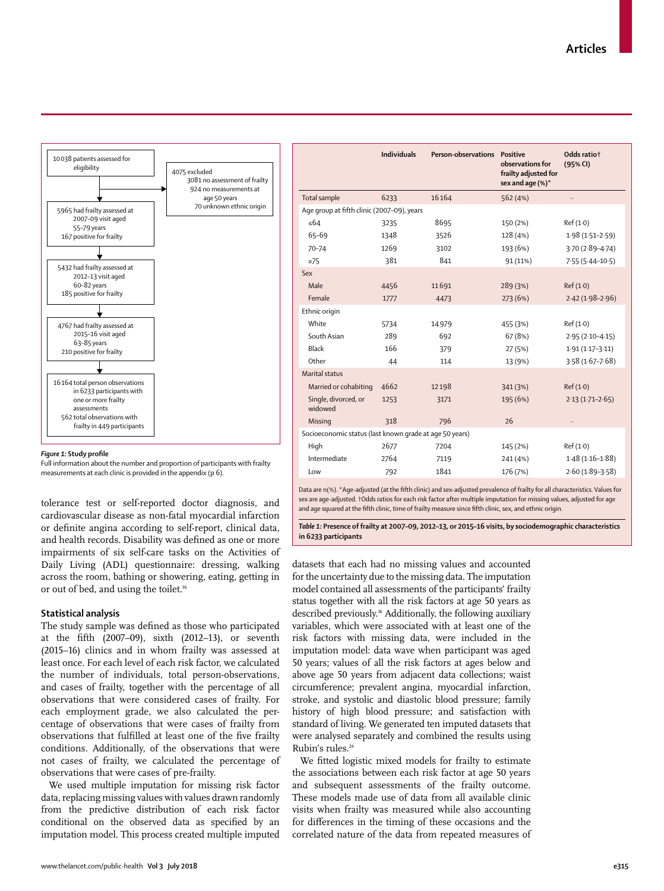

#### *Figure 1:* **Study profile**



tolerance test or self-reported doctor diagnosis, and cardiovascular disease as non-fatal myocardial infarction or definite angina according to self-report, clinical data, and health records. Disability was defined as one or more impairments of six self-care tasks on the Activities of Daily Living (ADL) questionnaire: dressing, walking across the room, bathing or showering, eating, getting in or out of bed, and using the toilet.<sup>16</sup>

## **Statistical analysis**

The study sample was defined as those who participated at the fifth (2007–09), sixth (2012–13), or seventh (2015–16) clinics and in whom frailty was assessed at least once. For each level of each risk factor, we calculated the number of individuals, total person-observations, and cases of frailty, together with the percentage of all observations that were considered cases of frailty. For each employment grade, we also calculated the percentage of observations that were cases of frailty from observations that fulfilled at least one of the five frailty conditions. Additionally, of the observations that were not cases of frailty, we calculated the percentage of observations that were cases of pre-frailty.

We used multiple imputation for missing risk factor data, replacing missing values with values drawn randomly from the predictive distribution of each risk factor conditional on the observed data as specified by an imputation model. This process created multiple imputed

|                                                         | <b>Individuals</b> | Person-observations | Positive<br>observations for<br>frailty adjusted for<br>sex and age (%)* | Odds ratiot<br>(95% CI) |
|---------------------------------------------------------|--------------------|---------------------|--------------------------------------------------------------------------|-------------------------|
| <b>Total sample</b>                                     | 6233               | 16164               | 562 (4%)                                                                 | $\ldots$                |
| Age group at fifth clinic (2007-09), years              |                    |                     |                                                                          |                         |
| $\leq 64$                                               | 3235               | 8695                | 150 (2%)                                                                 | Ref(1.0)                |
| 65-69                                                   | 1348               | 3526                | 128 (4%)                                                                 | $1.98(1.51 - 2.59)$     |
| $70 - 74$                                               | 1269               | 3102                | 193 (6%)                                                                 | $3.70(2.89 - 4.74)$     |
| $\geq 75$                                               | 381                | 841                 | 91 (11%)                                                                 | $7.55(5.44 - 10.5)$     |
| Sex                                                     |                    |                     |                                                                          |                         |
| Male                                                    | 4456               | 11691               | 289 (3%)                                                                 | Ref(1.0)                |
| Female                                                  | 1777               | 4473                | 273 (6%)                                                                 | $2.42(1.98-2.96)$       |
| Ethnic origin                                           |                    |                     |                                                                          |                         |
| White                                                   | 5734               | 14979               | 455 (3%)                                                                 | Ref(1.0)                |
| South Asian                                             | 289                | 692                 | 67 (8%)                                                                  | $2.95(2.10-4.15)$       |
| Black                                                   | 166                | 379                 | 27 (5%)                                                                  | $1.91(1.17 - 3.11)$     |
| Other                                                   | 44                 | 114                 | 13 (9%)                                                                  | $3.58(1.67 - 7.68)$     |
| Marital status                                          |                    |                     |                                                                          |                         |
| Married or cohabiting                                   | 4662               | 12198               | 341 (3%)                                                                 | Ref(1.0)                |
| Single, divorced, or<br>widowed                         | 1253               | 3171                | 195 (6%)                                                                 | $2.13(1.71 - 2.65)$     |
| Missing                                                 | 318                | 796                 | 26                                                                       | $\ldots$                |
| Socioeconomic status (last known grade at age 50 years) |                    |                     |                                                                          |                         |
| High                                                    | 2677               | 7204                | 145 (2%)                                                                 | Ref(1.0)                |
| Intermediate                                            | 2764               | 7119                | 241 (4%)                                                                 | $1.48(1.16-1.88)$       |
| Low                                                     | 792                | 1841                | 176 (7%)                                                                 | $2.60(1.89-3.58)$       |
|                                                         |                    |                     |                                                                          |                         |

Data are n(%). \*Age-adjusted (at the fifth clinic) and sex-adjusted prevalence of frailty for all characteristics. Values for sex are age-adjusted. †Odds ratios for each risk factor after multiple imputation for missing values, adjusted for age and age squared at the fifth clinic, time of frailty measure since fifth clinic, sex, and ethnic origin.

*Table 1:* **Presence of frailty at 2007–09, 2012–13, or 2015–16 visits, by sociodemographic characteristics in 6233 participants**

datasets that each had no missing values and accounted for the uncertainty due to the missing data. The imputation model contained all assessments of the participants' frailty status together with all the risk factors at age 50 years as described previously.16 Additionally, the following auxiliary variables, which were associated with at least one of the risk factors with missing data, were included in the imputation model: data wave when participant was aged 50 years; values of all the risk factors at ages below and above age 50 years from adjacent data collections; waist circumference; prevalent angina, myocardial infarction, stroke, and systolic and diastolic blood pressure; family history of high blood pressure; and satisfaction with standard of living. We generated ten imputed datasets that were analysed separately and combined the results using Rubin's rules.24

We fitted logistic mixed models for frailty to estimate the associations between each risk factor at age 50 years and subsequent assessments of the frailty outcome. These models made use of data from all available clinic visits when frailty was measured while also accounting for differences in the timing of these occasions and the correlated nature of the data from repeated measures of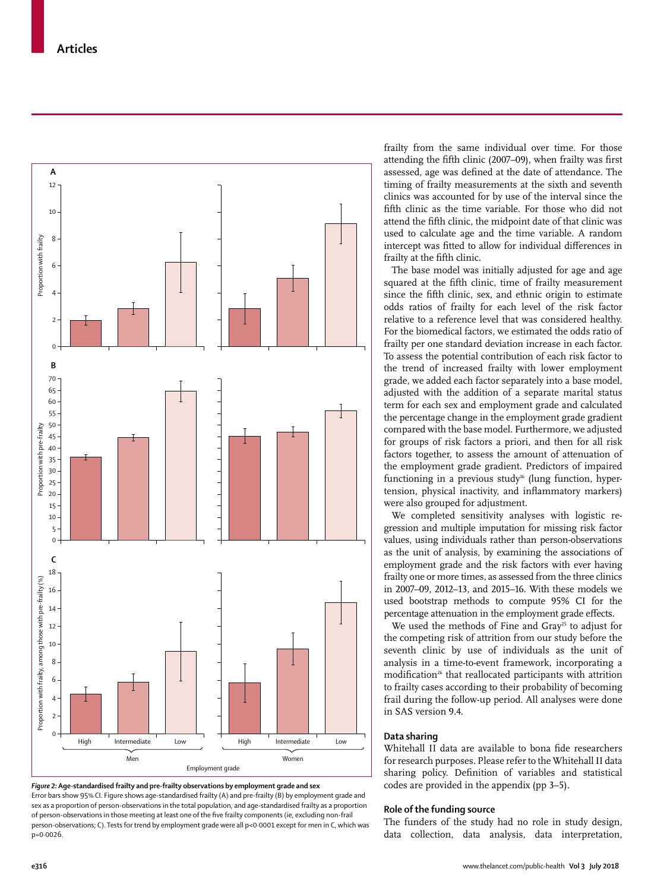

![](_page_4_Figure_2.jpeg)

frailty from the same individual over time. For those attending the fifth clinic (2007–09), when frailty was first assessed, age was defined at the date of attendance. The timing of frailty measurements at the sixth and seventh clinics was accounted for by use of the interval since the fifth clinic as the time variable. For those who did not attend the fifth clinic, the midpoint date of that clinic was used to calculate age and the time variable. A random intercept was fitted to allow for individual differences in frailty at the fifth clinic.

The base model was initially adjusted for age and age squared at the fifth clinic, time of frailty measurement since the fifth clinic, sex, and ethnic origin to estimate odds ratios of frailty for each level of the risk factor relative to a reference level that was considered healthy. For the biomedical factors, we estimated the odds ratio of frailty per one standard deviation increase in each factor. To assess the potential contribution of each risk factor to the trend of increased frailty with lower employment grade, we added each factor separately into a base model, adjusted with the addition of a separate marital status term for each sex and employment grade and calculated the percentage change in the employment grade gradient compared with the base model. Furthermore, we adjusted for groups of risk factors a priori, and then for all risk factors together, to assess the amount of attenuation of the employment grade gradient. Predictors of impaired functioning in a previous study<sup>16</sup> (lung function, hypertension, physical inactivity, and inflammatory markers) were also grouped for adjustment.

We completed sensitivity analyses with logistic regression and multiple imputation for missing risk factor values, using individuals rather than person-observations as the unit of analysis, by examining the associations of employment grade and the risk factors with ever having frailty one or more times, as assessed from the three clinics in 2007–09, 2012–13, and 2015–16. With these models we used bootstrap methods to compute 95% CI for the percentage attenuation in the employment grade effects.

We used the methods of Fine and Gray<sup>25</sup> to adjust for the competing risk of attrition from our study before the seventh clinic by use of individuals as the unit of analysis in a time-to-event framework, incorporating a modification<sup>26</sup> that reallocated participants with attrition to frailty cases according to their probability of becoming frail during the follow-up period. All analyses were done in SAS version 9.4.

## **Data sharing**

Whitehall II data are available to bona fide researchers for research purposes. Please refer to the Whitehall II data sharing policy. Definition of variables and statistical codes are provided in the appendix (pp 3–5).

## **Role of the funding source**

The funders of the study had no role in study design, data collection, data analysis, data interpretation,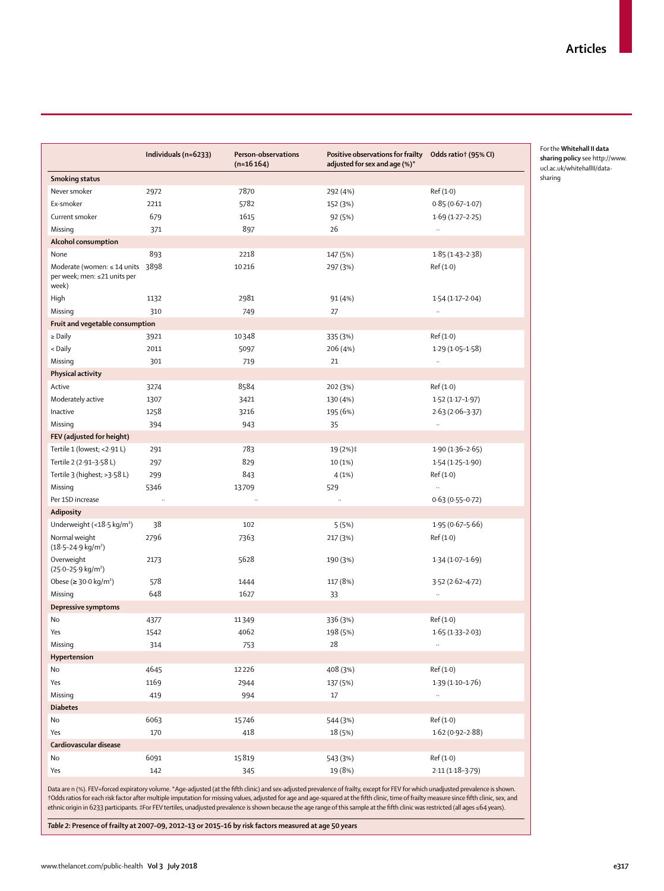|                                                                           | Individuals (n=6233) | Person-observations<br>$(n=16164)$ | Positive observations for frailty<br>adjusted for sex and age (%)* | Odds ratio† (95% CI) |
|---------------------------------------------------------------------------|----------------------|------------------------------------|--------------------------------------------------------------------|----------------------|
| <b>Smoking status</b>                                                     |                      |                                    |                                                                    |                      |
| Never smoker                                                              | 2972                 | 7870                               | 292 (4%)                                                           | Ref(1.0)             |
| Ex-smoker                                                                 | 2211                 | 5782                               | 152 (3%)                                                           | $0.85(0.67 - 1.07)$  |
| Current smoker                                                            | 679                  | 1615                               | 92 (5%)                                                            | $1.69(1.27 - 2.25)$  |
| Missing                                                                   | 371                  | 897                                | 26                                                                 | $\ldots$             |
| <b>Alcohol consumption</b>                                                |                      |                                    |                                                                    |                      |
| None                                                                      | 893                  | 2218                               | 147 (5%)                                                           | $1.85(1.43 - 2.38)$  |
| Moderate (women: ≤ 14 units 3898<br>per week; men: ≤21 units per<br>week) |                      | 10216                              | 297 (3%)                                                           | Ref(1.0)             |
| High                                                                      | 1132                 | 2981                               | 91 (4%)                                                            | $1.54(1.17-2.04)$    |
| Missing                                                                   | 310                  | 749                                | 27                                                                 | $\ddotsc$            |
| Fruit and vegetable consumption                                           |                      |                                    |                                                                    |                      |
| $\ge$ Daily                                                               | 3921                 | 10348                              | 335 (3%)                                                           | Ref(1.0)             |
| < Daily                                                                   | 2011                 | 5097                               | 206 (4%)                                                           | $1.29(1.05-1.58)$    |
| Missing                                                                   | 301                  | 719                                | 21                                                                 | $\ldots$             |
| Physical activity                                                         |                      |                                    |                                                                    |                      |
| Active                                                                    | 3274                 | 8584                               | 202 (3%)                                                           | Ref(1.0)             |
| Moderately active                                                         | 1307                 | 3421                               | 130 (4%)                                                           | $1.52(1.17-1.97)$    |
| Inactive                                                                  | 1258                 | 3216                               | 195 (6%)                                                           | $2.63(2.06-3.37)$    |
| Missing                                                                   | 394                  | 943                                | 35                                                                 | $\ldots$             |
| FEV (adjusted for height)                                                 |                      |                                    |                                                                    |                      |
| Tertile 1 (lowest; <2.91L)                                                | 291                  | 783                                | 19 (2%)‡                                                           | $1.90(1.36 - 2.65)$  |
| Tertile 2 (2-91-3-58 L)                                                   | 297                  | 829                                | 10 (1%)                                                            | $1.54(1.25-1.90)$    |
| Tertile $3$ (highest; > $3.58$ L)                                         | 299                  | 843                                | 4(1%)                                                              | Ref(1.0)             |
| Missing                                                                   | 5346                 | 13709                              | 529                                                                | $\ldots$             |
| Per 1SD increase                                                          |                      |                                    | $\ddotsc$                                                          | $0.63(0.55 - 0.72)$  |
| <b>Adiposity</b>                                                          |                      |                                    |                                                                    |                      |
| Underweight (<18.5 kg/m <sup>2</sup> )                                    | 38                   | 102                                | 5(5%)                                                              | $1.95(0.67 - 5.66)$  |
| Normal weight<br>$(18.5 - 24.9 \text{ kg/m}^2)$                           | 2796                 | 7363                               | 217 (3%)                                                           | Ref(1.0)             |
| Overweight<br>$(25.0 - 25.9 \text{ kg/m}^2)$                              | 2173                 | 5628                               | 190 (3%)                                                           | $1.34(1.07-1.69)$    |
| Obese ( $\geq$ 30.0 kg/m <sup>2</sup> )                                   | 578                  | 1444                               | 117 (8%)                                                           | $3.52(2.62 - 4.72)$  |
| Missing                                                                   | 648                  | 1627                               | 33                                                                 |                      |
| Depressive symptoms                                                       |                      |                                    |                                                                    |                      |
| No                                                                        | 4377                 | 11349                              | 336 (3%)                                                           | Ref(1.0)             |
| Yes                                                                       | 1542                 | 4062                               | 198 (5%)                                                           | $1.65(1.33 - 2.03)$  |
| Missing                                                                   | 314                  | 753                                | 28                                                                 |                      |
| Hypertension                                                              |                      |                                    |                                                                    |                      |
| No                                                                        | 4645                 | 12226                              | 408 (3%)                                                           | Ref(1.0)             |
| Yes                                                                       | 1169                 | 2944                               | 137 (5%)                                                           | $1.39(1.10-1.76)$    |
| Missing                                                                   | 419                  | 994                                | 17                                                                 | $\mathbb{Z}^2$       |
| <b>Diabetes</b>                                                           |                      |                                    |                                                                    |                      |
| No                                                                        | 6063                 | 15746                              | 544 (3%)                                                           | Ref(1.0)             |
| Yes                                                                       | 170                  | 418                                | 18 (5%)                                                            | $1.62(0.92 - 2.88)$  |
| Cardiovascular disease                                                    |                      |                                    |                                                                    |                      |
| No                                                                        | 6091                 | 15819                              | 543 (3%)                                                           | Ref(1.0)             |
| Yes                                                                       | 142                  | 345                                | 19 (8%)                                                            | $2.11(1.18-3.79)$    |

For the **Whitehall II data sharing policy** see http://www. ucl.ac.uk/whitehallII/datasharing

Data are n (%). FEV=forced expiratory volume. \*Age-adjusted (at the fifth clinic) and sex-adjusted prevalence of frailty, except for FEV for which unadjusted prevalence is shown. †Odds ratios for each risk factor after multiple imputation for missing values, adjusted for age and age-squared at the fifth clinic, time of frailty measure since fifth clinic, sex, and ethnic origin in 6233 participants. ‡For FEV tertiles, unadjusted prevalence is shown because the age range of this sample at the fifth clinic was restricted (all ages ≤64 years).

*Table 2:* **Presence of frailty at 2007–09, 2012–13 or 2015–16 by risk factors measured at age 50 years**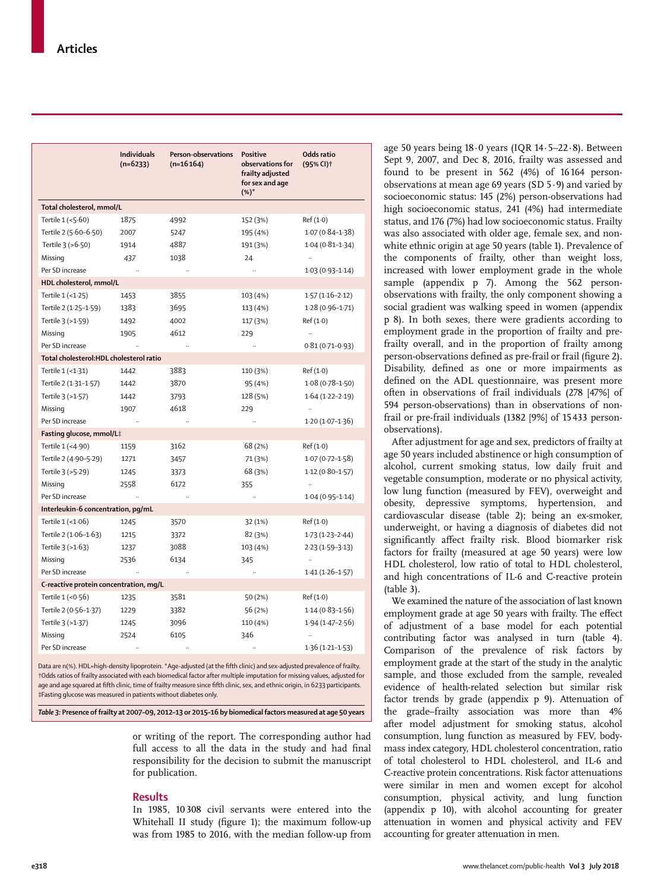|                                         | <b>Individuals</b><br>$(n=6233)$ | Person-observations<br>$(n=16164)$ | <b>Positive</b><br>observations for<br>frailty adjusted<br>for sex and age<br>$(%)^*$ | Odds ratio<br>(95% CI) <sup>+</sup> |  |
|-----------------------------------------|----------------------------------|------------------------------------|---------------------------------------------------------------------------------------|-------------------------------------|--|
| Total cholesterol, mmol/L               |                                  |                                    |                                                                                       |                                     |  |
| Tertile $1$ (< $5.60$ )                 | 1875                             | 4992                               | 152 (3%)                                                                              | Ref(1.0)                            |  |
| Tertile 2 (5.60-6.50)                   | 2007                             | 5247                               | 195 (4%)                                                                              | $1.07(0.84 - 1.38)$                 |  |
| Tertile 3 (>6.50)                       | 1914                             | 4887                               | 191 (3%)                                                                              | $1.04(0.81 - 1.34)$                 |  |
| Missing                                 | 437                              | 1038                               | 24                                                                                    |                                     |  |
| Per SD increase                         | $\ddot{\phantom{a}}$             |                                    | $\ddot{\phantom{a}}$                                                                  | $1.03(0.93 - 1.14)$                 |  |
| HDL cholesterol, mmol/L                 |                                  |                                    |                                                                                       |                                     |  |
| Tertile $1$ (<1.25)                     | 1453                             | 3855                               | 103 (4%)                                                                              | $1.57(1.16-2.12)$                   |  |
| Tertile 2 (1.25-1.59)                   | 1383                             | 3695                               | 113 (4%)                                                                              | $1.28(0.96-1.71)$                   |  |
| Tertile 3 (>1.59)                       | 1492                             | 4002                               | 117 (3%)                                                                              | Ref (1.0)                           |  |
| Missing                                 | 1905                             | 4612                               | 229                                                                                   | $\ddotsc$                           |  |
| Per SD increase                         |                                  |                                    |                                                                                       | $0.81(0.71 - 0.93)$                 |  |
| Total cholesterol:HDL cholesterol ratio |                                  |                                    |                                                                                       |                                     |  |
| Tertile 1 (<1.31)                       | 1442                             | 3883                               | 110 (3%)                                                                              | Ref(1.0)                            |  |
| Tertile 2 (1.31-1.57)                   | 1442                             | 3870                               | 95 (4%)                                                                               | $1.08(0.78 - 1.50)$                 |  |
| Tertile 3 (>1.57)                       | 1442                             | 3793                               | 128 (5%)                                                                              | $1.64(1.22 - 2.19)$                 |  |
| Missing                                 | 1907                             | 4618                               | 229                                                                                   | $\ldots$                            |  |
| Per SD increase                         |                                  |                                    |                                                                                       | $1.20(1.07-1.36)$                   |  |
| Fasting glucose, mmol/L‡                |                                  |                                    |                                                                                       |                                     |  |
| Tertile 1 (<4.90)                       | 1159                             | 3162                               | 68 (2%)                                                                               | Ref(1.0)                            |  |
| Tertile 2 (4.90-5.29)                   | 1271                             | 3457                               | 71 (3%)                                                                               | $1.07(0.72 - 1.58)$                 |  |
| Tertile 3 (>5.29)                       | 1245                             | 3373                               | 68 (3%)                                                                               | $1.12(0.80-1.57)$                   |  |
| Missing                                 | 2558                             | 6172                               | 355                                                                                   | $\ldots$                            |  |
| Per SD increase                         |                                  |                                    | $\ddotsc$                                                                             | $1.04(0.95 - 1.14)$                 |  |
| Interleukin-6 concentration, pq/mL      |                                  |                                    |                                                                                       |                                     |  |
| Tertile $1$ (< $1.06$ )                 | 1245                             | 3570                               | 32 (1%)                                                                               | Ref (1.0)                           |  |
| Tertile 2 (1.06-1.63)                   | 1215                             | 3372                               | 82 (3%)                                                                               | $1.73(1.23 - 2.44)$                 |  |
| Tertile 3 (>1.63)                       | 1237                             | 3088                               | 103 (4%)                                                                              | $2.23(1.59-3.13)$                   |  |
| Missing                                 | 2536                             | 6134                               | 345                                                                                   |                                     |  |
| Per SD increase                         |                                  |                                    |                                                                                       | $1.41(1.26 - 1.57)$                 |  |
| C-reactive protein concentration, mg/L  |                                  |                                    |                                                                                       |                                     |  |
| Tertile 1 (<0.56)                       | 1235                             | 3581                               | 50 (2%)                                                                               | Ref(1.0)                            |  |
| Tertile 2 (0.56-1.37)                   | 1229                             | 3382                               | 56 (2%)                                                                               | $1.14(0.83 - 1.56)$                 |  |
| Tertile 3 (>1.37)                       | 1245                             | 3096                               | 110 (4%)                                                                              | $1.94(1.47 - 2.56)$                 |  |
| Missing                                 | 2524                             | 6105                               | 346                                                                                   |                                     |  |
| Per SD increase                         | $\ddotsc$                        | $\ddot{\phantom{a}}$               | $\ddotsc$                                                                             | $1.36(1.21 - 1.53)$                 |  |
|                                         |                                  |                                    |                                                                                       |                                     |  |

Data are n(%). HDL=high-density lipoprotein. \*Age-adjusted (at the fifth clinic) and sex-adjusted prevalence of frailty. †Odds ratios of frailty associated with each biomedical factor after multiple imputation for missing values, adjusted for age and age squared at fifth clinic, time of frailty measure since fifth clinic, sex, and ethnic origin, in 6233 participants. ‡Fasting glucose was measured in patients without diabetes only.

*Table 3:* **Presence of frailty at 2007–09, 2012–13 or 2015–16 by biomedical factors measured at age 50 years**

or writing of the report. The corresponding author had full access to all the data in the study and had final responsibility for the decision to submit the manuscript for publication.

## **Results**

In 1985, 10308 civil servants were entered into the Whitehall II study (figure 1); the maximum follow-up was from 1985 to 2016, with the median follow-up from age 50 years being 18·0 years (IQR 14·5–22·8). Between Sept 9, 2007, and Dec 8, 2016, frailty was assessed and found to be present in 562 (4%) of 16 164 personobservations at mean age 69 years (SD 5·9) and varied by socioeconomic status: 145 (2%) person-observations had high socioeconomic status, 241 (4%) had intermediate status, and 176 (7%) had low socioeconomic status. Frailty was also associated with older age, female sex, and nonwhite ethnic origin at age 50 years (table 1). Prevalence of the components of frailty, other than weight loss, increased with lower employment grade in the whole sample (appendix p 7). Among the 562 personobservations with frailty, the only component showing a social gradient was walking speed in women (appendix p 8). In both sexes, there were gradients according to employment grade in the proportion of frailty and prefrailty overall, and in the proportion of frailty among person-observations defined as pre-frail or frail (figure 2). Disability, defined as one or more impairments as defined on the ADL questionnaire, was present more often in observations of frail individuals (278 [47%] of 594 person-observations) than in observations of nonfrail or pre-frail individuals (1382 [9%] of 15 433 personobservations).

After adjustment for age and sex, predictors of frailty at age 50 years included abstinence or high consumption of alcohol, current smoking status, low daily fruit and vegetable consumption, moderate or no physical activity, low lung function (measured by FEV), overweight and obesity, depressive symptoms, hypertension, and cardiovascular disease (table 2); being an ex-smoker, underweight, or having a diagnosis of diabetes did not significantly affect frailty risk. Blood biomarker risk factors for frailty (measured at age 50 years) were low HDL cholesterol, low ratio of total to HDL cholesterol, and high concentrations of IL-6 and C-reactive protein (table 3).

We examined the nature of the association of last known employment grade at age 50 years with frailty. The effect of adjustment of a base model for each potential contributing factor was analysed in turn (table 4). Comparison of the prevalence of risk factors by employment grade at the start of the study in the analytic sample, and those excluded from the sample, revealed evidence of health-related selection but similar risk factor trends by grade (appendix p 9). Attenuation of the grade–frailty association was more than 4% after model adjustment for smoking status, alcohol consumption, lung function as measured by FEV, bodymass index category, HDL cholesterol concentration, ratio of total cholesterol to HDL cholesterol, and IL-6 and C-reactive protein concentrations. Risk factor attenuations were similar in men and women except for alcohol consumption, physical activity, and lung function (appendix p 10), with alcohol accounting for greater attenuation in women and physical activity and FEV accounting for greater attenuation in men.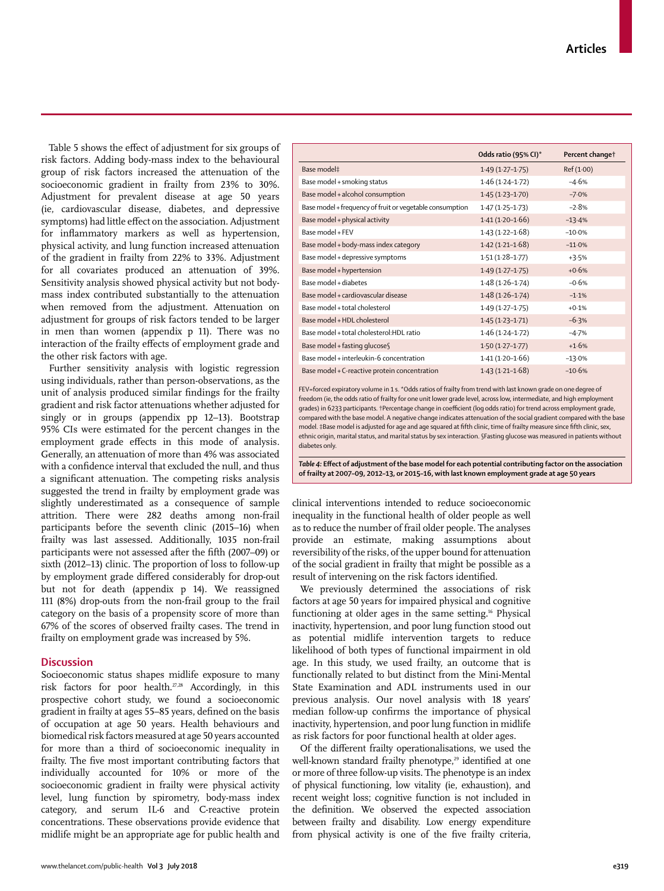Table 5 shows the effect of adjustment for six groups of risk factors. Adding body-mass index to the behavioural group of risk factors increased the attenuation of the socioeconomic gradient in frailty from 23% to 30%. Adjustment for prevalent disease at age 50 years (ie, cardiovascular disease, diabetes, and depressive symptoms) had little effect on the association. Adjustment for inflammatory markers as well as hypertension, physical activity, and lung function increased attenuation of the gradient in frailty from 22% to 33%. Adjustment for all covariates produced an attenuation of 39%. Sensitivity analysis showed physical activity but not bodymass index contributed substantially to the attenuation when removed from the adjustment. Attenuation on adjustment for groups of risk factors tended to be larger in men than women (appendix p 11). There was no interaction of the frailty effects of employment grade and the other risk factors with age.

Further sensitivity analysis with logistic regression using individuals, rather than person-observations, as the unit of analysis produced similar findings for the frailty gradient and risk factor attenuations whether adjusted for singly or in groups (appendix pp 12–13). Bootstrap 95% CIs were estimated for the percent changes in the employment grade effects in this mode of analysis. Generally, an attenuation of more than 4% was associated with a confidence interval that excluded the null, and thus a significant attenuation. The competing risks analysis suggested the trend in frailty by employment grade was slightly underestimated as a consequence of sample attrition. There were 282 deaths among non-frail participants before the seventh clinic (2015–16) when frailty was last assessed. Additionally, 1035 non-frail participants were not assessed after the fifth (2007–09) or sixth (2012–13) clinic. The proportion of loss to follow-up by employment grade differed considerably for drop-out but not for death (appendix p 14). We reassigned 111 (8%) drop-outs from the non-frail group to the frail category on the basis of a propensity score of more than 67% of the scores of observed frailty cases. The trend in frailty on employment grade was increased by 5%.

## **Discussion**

Socioeconomic status shapes midlife exposure to many risk factors for poor health.<sup>27,28</sup> Accordingly, in this prospective cohort study, we found a socioeconomic gradient in frailty at ages 55–85 years, defined on the basis of occupation at age 50 years. Health behaviours and biomedical risk factors measured at age 50 years accounted for more than a third of socioeconomic inequality in frailty. The five most important contributing factors that individually accounted for 10% or more of the socioeconomic gradient in frailty were physical activity level, lung function by spirometry, body-mass index category, and serum IL-6 and C-reactive protein concentrations. These observations provide evidence that midlife might be an appropriate age for public health and

|                                                          | Odds ratio (95% CI)* | Percent changet |
|----------------------------------------------------------|----------------------|-----------------|
| Base model#                                              | $1.49(1.27 - 1.75)$  | Ref(1.00)       |
| Base model + smoking status                              | $1.46(1.24-1.72)$    | $-4.6%$         |
| Base model + alcohol consumption                         | $1.45(1.23 - 1.70)$  | $-7.0%$         |
| Base model + frequency of fruit or vegetable consumption | $1.47(1.25-1.73)$    | $-2.8%$         |
| Base model + physical activity                           | $1.41(1.20-1.66)$    | $-13.4%$        |
| Base model + FFV                                         | $1.43(1.22 - 1.68)$  | $-10.0%$        |
| Base model + body-mass index category                    | $1.42(1.21 - 1.68)$  | $-11.0%$        |
| Base model + depressive symptoms                         | $1.51(1.28-1.77)$    | $+3.5%$         |
| Base model + hypertension                                | $1.49(1.27 - 1.75)$  | $+0.6%$         |
| Base model + diabetes                                    | $1.48(1.26 - 1.74)$  | $-0.6%$         |
| Base model + cardiovascular disease                      | $1.48(1.26 - 1.74)$  | $-1.1%$         |
| Base model + total cholesterol                           | $1.49(1.27 - 1.75)$  | $+0.1%$         |
| Base model + HDL cholesterol                             | $1.45(1.23 - 1.71)$  | $-6.3%$         |
| Base model + total cholesterol: HDL ratio                | $1.46(1.24-1.72)$    | $-4.7%$         |
| Base model + fasting glucose§                            | $1.50(1.27-1.77)$    | $+1.6%$         |
| Base model + interleukin-6 concentration                 | $1.41(1.20 - 1.66)$  | $-13.0%$        |
| Base model + C-reactive protein concentration            | $1.43(1.21 - 1.68)$  | $-10.6%$        |

FEV=forced expiratory volume in 1 s. \*Odds ratios of frailty from trend with last known grade on one degree of freedom (ie, the odds ratio of frailty for one unit lower grade level, across low, intermediate, and high employment grades) in 6233 participants. †Percentage change in coefficient (log odds ratio) for trend across employment grade, compared with the base model. A negative change indicates attenuation of the social gradient compared with the base model. ‡Base model is adjusted for age and age squared at fifth clinic, time of frailty measure since fifth clinic, sex, ethnic origin, marital status, and marital status by sex interaction. §Fasting glucose was measured in patients without diabetes only.

*Table 4:* **Effect of adjustment of the base model for each potential contributing factor on the association of frailty at 2007–09, 2012–13, or 2015–16, with last known employment grade at age 50 years**

clinical interventions intended to reduce socioeconomic inequality in the functional health of older people as well as to reduce the number of frail older people. The analyses provide an estimate, making assumptions about reversibility of the risks, of the upper bound for attenuation of the social gradient in frailty that might be possible as a result of intervening on the risk factors identified.

We previously determined the associations of risk factors at age 50 years for impaired physical and cognitive functioning at older ages in the same setting.<sup>16</sup> Physical inactivity, hypertension, and poor lung function stood out as potential midlife intervention targets to reduce likelihood of both types of functional impairment in old age. In this study, we used frailty, an outcome that is functionally related to but distinct from the Mini-Mental State Examination and ADL instruments used in our previous analysis. Our novel analysis with 18 years' median follow-up confirms the importance of physical inactivity, hypertension, and poor lung function in midlife as risk factors for poor functional health at older ages.

Of the different frailty operationalisations, we used the well-known standard frailty phenotype,<sup>29</sup> identified at one or more of three follow-up visits. The phenotype is an index of physical functioning, low vitality (ie, exhaustion), and recent weight loss; cognitive function is not included in the definition. We observed the expected association between frailty and disability. Low energy expenditure from physical activity is one of the five frailty criteria,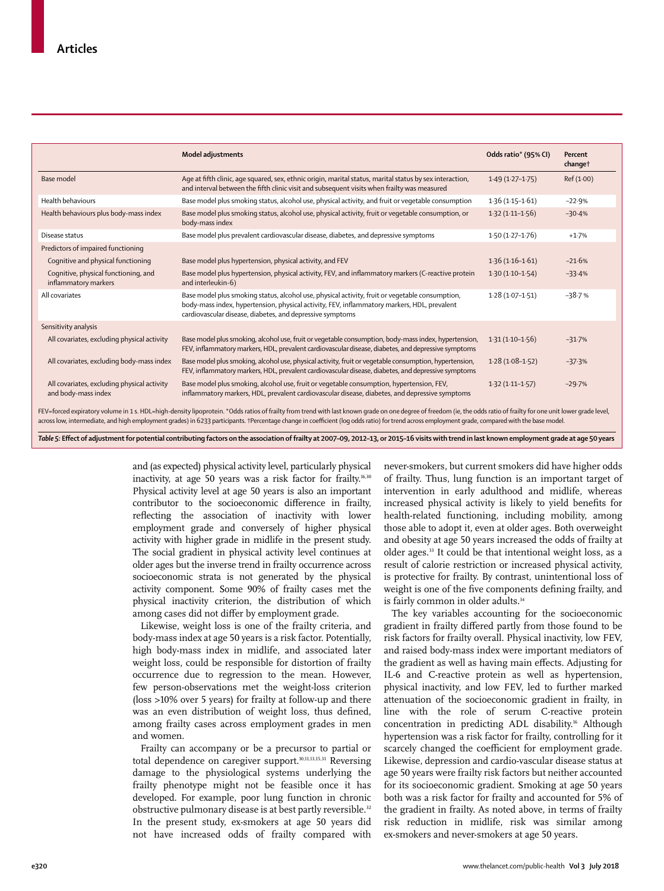|                                                                    | Model adjustments                                                                                                                                                                                                                                           | Odds ratio* (95% CI) | Percent<br>change† |
|--------------------------------------------------------------------|-------------------------------------------------------------------------------------------------------------------------------------------------------------------------------------------------------------------------------------------------------------|----------------------|--------------------|
| <b>Base model</b>                                                  | Age at fifth clinic, age squared, sex, ethnic origin, marital status, marital status by sex interaction,<br>and interval between the fifth clinic visit and subsequent visits when frailty was measured                                                     | $1.49(1.27 - 1.75)$  | Ref (1.00)         |
| Health behaviours                                                  | Base model plus smoking status, alcohol use, physical activity, and fruit or vegetable consumption                                                                                                                                                          | $1.36(1.15-1.61)$    | $-22.9%$           |
| Health behaviours plus body-mass index                             | Base model plus smoking status, alcohol use, physical activity, fruit or vegetable consumption, or<br>body-mass index                                                                                                                                       | $1.32(1.11 - 1.56)$  | $-30.4%$           |
| Disease status                                                     | Base model plus prevalent cardiovascular disease, diabetes, and depressive symptoms                                                                                                                                                                         | $1.50(1.27 - 1.76)$  | $+1.7%$            |
| Predictors of impaired functioning                                 |                                                                                                                                                                                                                                                             |                      |                    |
| Cognitive and physical functioning                                 | Base model plus hypertension, physical activity, and FEV                                                                                                                                                                                                    | $1.36(1.16-1.61)$    | $-21.6%$           |
| Cognitive, physical functioning, and<br>inflammatory markers       | Base model plus hypertension, physical activity, FEV, and inflammatory markers (C-reactive protein<br>and interleukin-6)                                                                                                                                    | $1.30(1.10-1.54)$    | $-33.4%$           |
| All covariates                                                     | Base model plus smoking status, alcohol use, physical activity, fruit or vegetable consumption,<br>body-mass index, hypertension, physical activity, FEV, inflammatory markers, HDL, prevalent<br>cardiovascular disease, diabetes, and depressive symptoms | $1.28(1.07-1.51)$    | $-38.7%$           |
| Sensitivity analysis                                               |                                                                                                                                                                                                                                                             |                      |                    |
| All covariates, excluding physical activity                        | Base model plus smoking, alcohol use, fruit or vegetable consumption, body-mass index, hypertension,<br>FEV, inflammatory markers, HDL, prevalent cardiovascular disease, diabetes, and depressive symptoms                                                 | $1.31(1.10-1.56)$    | $-31.7%$           |
| All covariates, excluding body-mass index                          | Base model plus smoking, alcohol use, physical activity, fruit or vegetable consumption, hypertension,<br>FEV, inflammatory markers, HDL, prevalent cardiovascular disease, diabetes, and depressive symptoms                                               | $1.28(1.08-1.52)$    | $-37.3%$           |
| All covariates, excluding physical activity<br>and body-mass index | Base model plus smoking, alcohol use, fruit or vegetable consumption, hypertension, FEV,<br>inflammatory markers, HDL, prevalent cardiovascular disease, diabetes, and depressive symptoms                                                                  | $1.32(1.11 - 1.57)$  | $-29.7%$           |

*Table 5:* **Effect of adjustment for potential contributing factors on the association of frailty at 2007–09, 2012–13, or 2015–16 visits with trend in last known employment grade at age 50 years**

and (as expected) physical activity level, particularly physical inactivity, at age 50 years was a risk factor for frailty.<sup>16,30</sup> Physical activity level at age 50 years is also an important contributor to the socioeconomic difference in frailty, reflecting the association of inactivity with lower employment grade and conversely of higher physical activity with higher grade in midlife in the present study. The social gradient in physical activity level continues at older ages but the inverse trend in frailty occurrence across socioeconomic strata is not generated by the physical activity component. Some 90% of frailty cases met the physical inactivity criterion, the distribution of which among cases did not differ by employment grade.

Likewise, weight loss is one of the frailty criteria, and body-mass index at age 50 years is a risk factor. Potentially, high body-mass index in midlife, and associated later weight loss, could be responsible for distortion of frailty occurrence due to regression to the mean. However, few person-observations met the weight-loss criterion (loss >10% over 5 years) for frailty at follow-up and there was an even distribution of weight loss, thus defined, among frailty cases across employment grades in men and women.

Frailty can accompany or be a precursor to partial or total dependence on caregiver support.<sup>10,11,13,15,31</sup> Reversing damage to the physiological systems underlying the frailty phenotype might not be feasible once it has developed. For example, poor lung function in chronic obstructive pulmonary disease is at best partly reversible.<sup>32</sup> In the present study, ex-smokers at age 50 years did not have increased odds of frailty compared with never-smokers, but current smokers did have higher odds of frailty. Thus, lung function is an important target of intervention in early adulthood and midlife, whereas increased physical activity is likely to yield benefits for health-related functioning, including mobility, among those able to adopt it, even at older ages. Both overweight and obesity at age 50 years increased the odds of frailty at older ages.<sup>33</sup> It could be that intentional weight loss, as a result of calorie restriction or increased physical activity, is protective for frailty. By contrast, unintentional loss of weight is one of the five components defining frailty, and is fairly common in older adults.<sup>34</sup>

The key variables accounting for the socioeconomic gradient in frailty differed partly from those found to be risk factors for frailty overall. Physical inactivity, low FEV, and raised body-mass index were important mediators of the gradient as well as having main effects. Adjusting for IL-6 and C-reactive protein as well as hypertension, physical inactivity, and low FEV, led to further marked attenuation of the socioeconomic gradient in frailty, in line with the role of serum C-reactive protein concentration in predicting ADL disability.16 Although hypertension was a risk factor for frailty, controlling for it scarcely changed the coefficient for employment grade. Likewise, depression and cardio-vascular disease status at age 50 years were frailty risk factors but neither accounted for its socioeconomic gradient. Smoking at age 50 years both was a risk factor for frailty and accounted for 5% of the gradient in frailty. As noted above, in terms of frailty risk reduction in midlife, risk was similar among ex-smokers and never-smokers at age 50 years.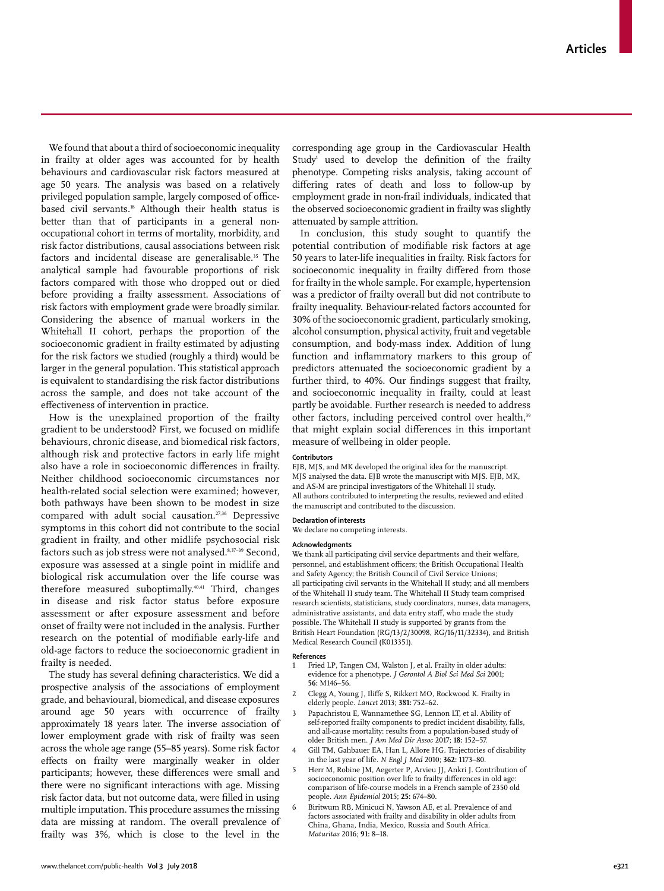We found that about a third of socioeconomic inequality in frailty at older ages was accounted for by health behaviours and cardiovascular risk factors measured at age 50 years. The analysis was based on a relatively privileged population sample, largely composed of officebased civil servants.18 Although their health status is better than that of participants in a general nonoccupational cohort in terms of mortality, morbidity, and risk factor distributions, causal associations between risk factors and incidental disease are generalisable.<sup>35</sup> The analytical sample had favourable proportions of risk factors compared with those who dropped out or died before providing a frailty assessment. Associations of risk factors with employment grade were broadly similar. Considering the absence of manual workers in the Whitehall II cohort, perhaps the proportion of the socioeconomic gradient in frailty estimated by adjusting for the risk factors we studied (roughly a third) would be larger in the general population. This statistical approach is equivalent to standardising the risk factor distributions across the sample, and does not take account of the effectiveness of intervention in practice.

How is the unexplained proportion of the frailty gradient to be understood? First, we focused on midlife behaviours, chronic disease, and biomedical risk factors, although risk and protective factors in early life might also have a role in socioeconomic differences in frailty. Neither childhood socioeconomic circumstances nor health-related social selection were examined; however, both pathways have been shown to be modest in size compared with adult social causation.<sup>27,36</sup> Depressive symptoms in this cohort did not contribute to the social gradient in frailty, and other midlife psychosocial risk factors such as job stress were not analysed.8,37–39 Second, exposure was assessed at a single point in midlife and biological risk accumulation over the life course was therefore measured suboptimally.40,41 Third, changes in disease and risk factor status before exposure assessment or after exposure assessment and before onset of frailty were not included in the analysis. Further research on the potential of modifiable early-life and old-age factors to reduce the socioeconomic gradient in frailty is needed.

The study has several defining characteristics. We did a prospective analysis of the associations of employment grade, and behavioural, biomedical, and disease exposures around age 50 years with occurrence of frailty approximately 18 years later. The inverse association of lower employment grade with risk of frailty was seen across the whole age range (55–85 years). Some risk factor effects on frailty were marginally weaker in older participants; however, these differences were small and there were no significant interactions with age. Missing risk factor data, but not outcome data, were filled in using multiple imputation. This procedure assumes the missing data are missing at random. The overall prevalence of frailty was 3%, which is close to the level in the

corresponding age group in the Cardiovascular Health Study<sup>1</sup> used to develop the definition of the frailty phenotype. Competing risks analysis, taking account of differing rates of death and loss to follow-up by employment grade in non-frail individuals, indicated that the observed socioeconomic gradient in frailty was slightly attenuated by sample attrition.

In conclusion, this study sought to quantify the potential contribution of modifiable risk factors at age 50 years to later-life inequalities in frailty. Risk factors for socioeconomic inequality in frailty differed from those for frailty in the whole sample. For example, hypertension was a predictor of frailty overall but did not contribute to frailty inequality. Behaviour-related factors accounted for 30% of the socioeconomic gradient, particularly smoking, alcohol consumption, physical activity, fruit and vegetable consumption, and body-mass index. Addition of lung function and inflammatory markers to this group of predictors attenuated the socioeconomic gradient by a further third, to 40%. Our findings suggest that frailty, and socioeconomic inequality in frailty, could at least partly be avoidable. Further research is needed to address other factors, including perceived control over health,<sup>39</sup> that might explain social differences in this important measure of wellbeing in older people.

### **Contributors**

EJB, MJS, and MK developed the original idea for the manuscript. MIS analysed the data. EIB wrote the manuscript with MIS, EIB, MK, and AS-M are principal investigators of the Whitehall II study. All authors contributed to interpreting the results, reviewed and edited the manuscript and contributed to the discussion.

#### **Declaration of interests**

We declare no competing interests.

#### **Acknowledgments**

We thank all participating civil service departments and their welfare, personnel, and establishment officers; the British Occupational Health and Safety Agency; the British Council of Civil Service Unions; all participating civil servants in the Whitehall II study; and all members of the Whitehall II study team. The Whitehall II Study team comprised research scientists, statisticians, study coordinators, nurses, data managers, administrative assistants, and data entry staff, who made the study possible. The Whitehall II study is supported by grants from the British Heart Foundation (RG/13/2/30098, RG/16/11/32334), and British Medical Research Council (K013351).

#### **References**

- Fried LP, Tangen CM, Walston J, et al. Frailty in older adults: evidence for a phenotype. *J Gerontol A Biol Sci Med Sci* 2001; **56:** M146–56.
- 2 Clegg A, Young J, Iliffe S, Rikkert MO, Rockwood K. Frailty in elderly people. *Lancet* 2013; **381:** 752–62.
- 3 Papachristou E, Wannamethee SG, Lennon LT, et al. Ability of self-reported frailty components to predict incident disability, falls, and all-cause mortality: results from a population-based study of older British men. *J Am Med Dir Assoc* 2017; **18:** 152–57.
- Gill TM, Gahbauer EA, Han L, Allore HG. Trajectories of disability in the last year of life. *N Engl J Med* 2010; **362:** 1173–80.
- 5 Herr M, Robine JM, Aegerter P, Arvieu JJ, Ankri J. Contribution of socioeconomic position over life to frailty differences in old age: comparison of life-course models in a French sample of 2350 old people. *Ann Epidemiol* 2015; **25:** 674–80.
- 6 Biritwum RB, Minicuci N, Yawson AE, et al. Prevalence of and factors associated with frailty and disability in older adults from China, Ghana, India, Mexico, Russia and South Africa. *Maturitas* 2016; **91:** 8–18.